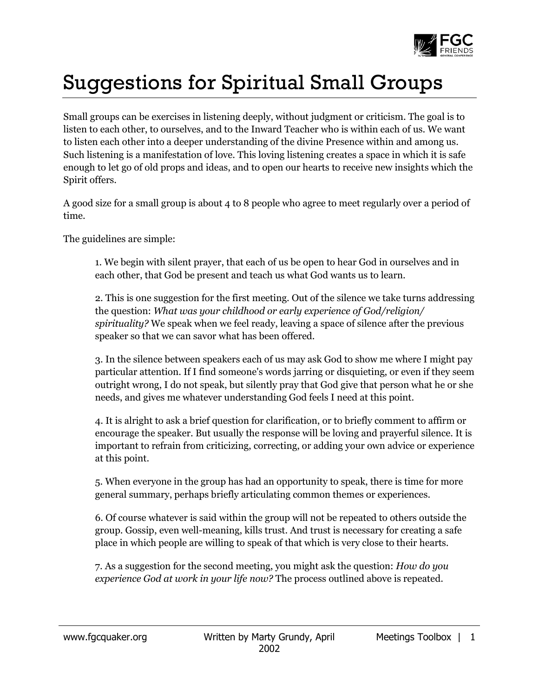

## Suggestions for Spiritual Small Groups

Small groups can be exercises in listening deeply, without judgment or criticism. The goal is to listen to each other, to ourselves, and to the Inward Teacher who is within each of us. We want to listen each other into a deeper understanding of the divine Presence within and among us. Such listening is a manifestation of love. This loving listening creates a space in which it is safe enough to let go of old props and ideas, and to open our hearts to receive new insights which the Spirit offers.

A good size for a small group is about 4 to 8 people who agree to meet regularly over a period of time.

The guidelines are simple:

1. We begin with silent prayer, that each of us be open to hear God in ourselves and in each other, that God be present and teach us what God wants us to learn.

2. This is one suggestion for the first meeting. Out of the silence we take turns addressing the question: *What was your childhood or early experience of God/religion/ spirituality?* We speak when we feel ready, leaving a space of silence after the previous speaker so that we can savor what has been offered.

3. In the silence between speakers each of us may ask God to show me where I might pay particular attention. If I find someone's words jarring or disquieting, or even if they seem outright wrong, I do not speak, but silently pray that God give that person what he or she needs, and gives me whatever understanding God feels I need at this point.

4. It is alright to ask a brief question for clarification, or to briefly comment to affirm or encourage the speaker. But usually the response will be loving and prayerful silence. It is important to refrain from criticizing, correcting, or adding your own advice or experience at this point.

5. When everyone in the group has had an opportunity to speak, there is time for more general summary, perhaps briefly articulating common themes or experiences.

6. Of course whatever is said within the group will not be repeated to others outside the group. Gossip, even well-meaning, kills trust. And trust is necessary for creating a safe place in which people are willing to speak of that which is very close to their hearts.

7. As a suggestion for the second meeting, you might ask the question: *How do you experience God at work in your life now?* The process outlined above is repeated.